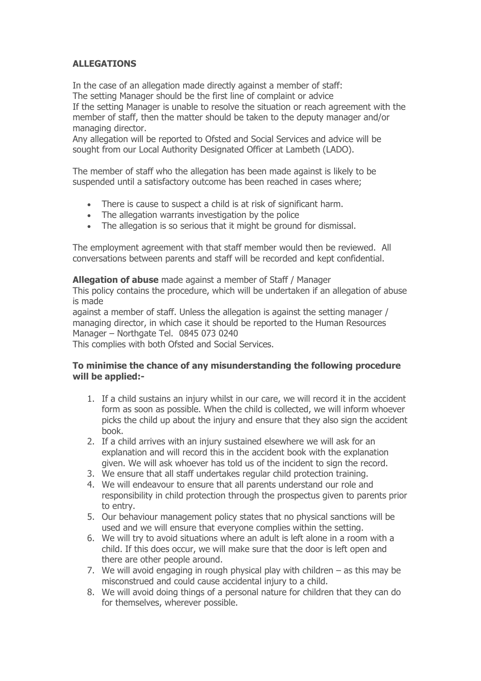# **ALLEGATIONS**

In the case of an allegation made directly against a member of staff: The setting Manager should be the first line of complaint or advice If the setting Manager is unable to resolve the situation or reach agreement with the member of staff, then the matter should be taken to the deputy manager and/or managing director.

Any allegation will be reported to Ofsted and Social Services and advice will be sought from our Local Authority Designated Officer at Lambeth (LADO).

The member of staff who the allegation has been made against is likely to be suspended until a satisfactory outcome has been reached in cases where;

- There is cause to suspect a child is at risk of significant harm.
- The allegation warrants investigation by the police
- The allegation is so serious that it might be ground for dismissal.

The employment agreement with that staff member would then be reviewed. All conversations between parents and staff will be recorded and kept confidential.

**Allegation of abuse** made against a member of Staff / Manager

This policy contains the procedure, which will be undertaken if an allegation of abuse is made

against a member of staff. Unless the allegation is against the setting manager / managing director, in which case it should be reported to the Human Resources Manager – Northgate Tel. 0845 073 0240

This complies with both Ofsted and Social Services.

# **To minimise the chance of any misunderstanding the following procedure will be applied:-**

- 1. If a child sustains an injury whilst in our care, we will record it in the accident form as soon as possible. When the child is collected, we will inform whoever picks the child up about the injury and ensure that they also sign the accident book.
- 2. If a child arrives with an injury sustained elsewhere we will ask for an explanation and will record this in the accident book with the explanation given. We will ask whoever has told us of the incident to sign the record.
- 3. We ensure that all staff undertakes regular child protection training.
- 4. We will endeavour to ensure that all parents understand our role and responsibility in child protection through the prospectus given to parents prior to entry.
- 5. Our behaviour management policy states that no physical sanctions will be used and we will ensure that everyone complies within the setting.
- 6. We will try to avoid situations where an adult is left alone in a room with a child. If this does occur, we will make sure that the door is left open and there are other people around.
- 7. We will avoid engaging in rough physical play with children as this may be misconstrued and could cause accidental injury to a child.
- 8. We will avoid doing things of a personal nature for children that they can do for themselves, wherever possible.